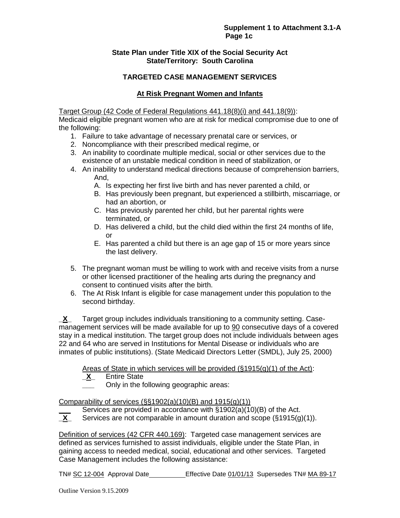## **Supplement 1 to Attachment 3.1-A Page 1c**

## **State Plan under Title XIX of the Social Security Act State/Territory: South Carolina**

# **TARGETED CASE MANAGEMENT SERVICES**

# **At Risk Pregnant Women and Infants**

Target Group (42 Code of Federal Regulations 441.18(8)(i) and 441.18(9)):

Medicaid eligible pregnant women who are at risk for medical compromise due to one of the following:

- 1. Failure to take advantage of necessary prenatal care or services, or
- 2. Noncompliance with their prescribed medical regime, or
- 3. An inability to coordinate multiple medical, social or other services due to the existence of an unstable medical condition in need of stabilization, or
- 4. An inability to understand medical directions because of comprehension barriers, And,
	- A. Is expecting her first live birth and has never parented a child, or
	- B. Has previously been pregnant, but experienced a stillbirth, miscarriage, or had an abortion, or
	- C. Has previously parented her child, but her parental rights were terminated, or
	- D. Has delivered a child, but the child died within the first 24 months of life, or
	- E. Has parented a child but there is an age gap of 15 or more years since the last delivery.
- 5. The pregnant woman must be willing to work with and receive visits from a nurse or other licensed practitioner of the healing arts during the pregnancy and consent to continued visits after the birth.
- 6. The At Risk Infant is eligible for case management under this population to the second birthday.

**\_X\_** Target group includes individuals transitioning to a community setting. Casemanagement services will be made available for up to 90 consecutive days of a covered stay in a medical institution. The target group does not include individuals between ages 22 and 64 who are served in Institutions for Mental Disease or individuals who are inmates of public institutions). (State Medicaid Directors Letter (SMDL), July 25, 2000)

# Areas of State in which services will be provided (§1915(g)(1) of the Act):<br>X\_ Entire State

- **\_X\_** Entire State
	- **\_\_\_** Only in the following geographic areas:

Comparability of services  $(\frac{6}{51902(a)(10)(B)}$  and  $1915(q)(1))$ 

- Services are provided in accordance with §1902(a)(10)(B) of the Act.
- **\_X\_** Services are not comparable in amount duration and scope (§1915(g)(1)).

Definition of services (42 CFR 440.169): Targeted case management services are defined as services furnished to assist individuals, eligible under the State Plan, in gaining access to needed medical, social, educational and other services. Targeted Case Management includes the following assistance: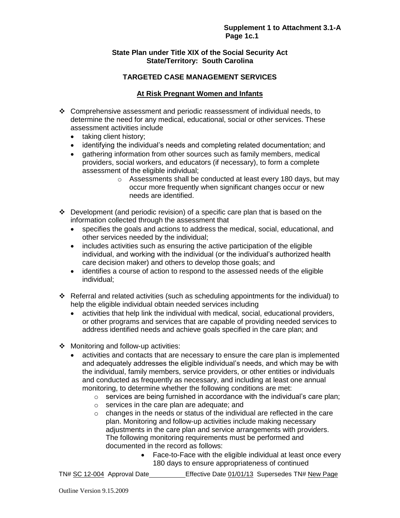## **State Plan under Title XIX of the Social Security Act State/Territory: South Carolina**

# **TARGETED CASE MANAGEMENT SERVICES**

# **At Risk Pregnant Women and Infants**

- $\div$  Comprehensive assessment and periodic reassessment of individual needs, to determine the need for any medical, educational, social or other services. These assessment activities include
	- taking client history;
	- identifying the individual's needs and completing related documentation; and
	- gathering information from other sources such as family members, medical providers, social workers, and educators (if necessary), to form a complete assessment of the eligible individual;
		- o Assessments shall be conducted at least every 180 days, but may occur more frequently when significant changes occur or new needs are identified.
- $\div$  Development (and periodic revision) of a specific care plan that is based on the information collected through the assessment that
	- specifies the goals and actions to address the medical, social, educational, and other services needed by the individual;
	- includes activities such as ensuring the active participation of the eligible individual, and working with the individual (or the individual's authorized health care decision maker) and others to develop those goals; and
	- identifies a course of action to respond to the assessed needs of the eligible individual;
- Referral and related activities (such as scheduling appointments for the individual) to help the eligible individual obtain needed services including
	- activities that help link the individual with medical, social, educational providers, or other programs and services that are capable of providing needed services to address identified needs and achieve goals specified in the care plan; and
- ❖ Monitoring and follow-up activities:
	- activities and contacts that are necessary to ensure the care plan is implemented and adequately addresses the eligible individual's needs, and which may be with the individual, family members, service providers, or other entities or individuals and conducted as frequently as necessary, and including at least one annual monitoring, to determine whether the following conditions are met:
		- $\circ$  services are being furnished in accordance with the individual's care plan;
		- o services in the care plan are adequate; and
		- o changes in the needs or status of the individual are reflected in the care plan. Monitoring and follow-up activities include making necessary adjustments in the care plan and service arrangements with providers. The following monitoring requirements must be performed and documented in the record as follows:
			- Face-to-Face with the eligible individual at least once every 180 days to ensure appropriateness of continued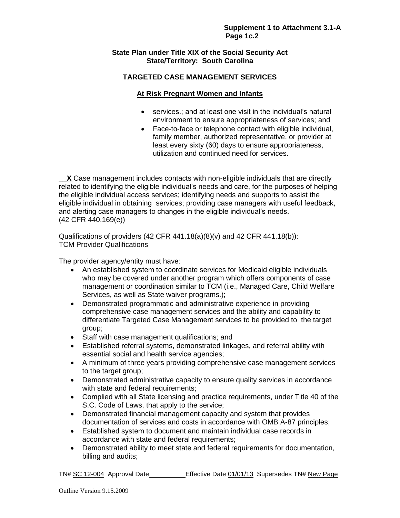## **State Plan under Title XIX of the Social Security Act State/Territory: South Carolina**

# **TARGETED CASE MANAGEMENT SERVICES**

# **At Risk Pregnant Women and Infants**

- services.; and at least one visit in the individual's natural environment to ensure appropriateness of services; and
- Face-to-face or telephone contact with eligible individual, family member, authorized representative, or provider at least every sixty (60) days to ensure appropriateness, utilization and continued need for services.

**X** Case management includes contacts with non-eligible individuals that are directly related to identifying the eligible individual's needs and care, for the purposes of helping the eligible individual access services; identifying needs and supports to assist the eligible individual in obtaining services; providing case managers with useful feedback, and alerting case managers to changes in the eligible individual's needs. (42 CFR 440.169(e))

Qualifications of providers  $(42$  CFR  $441.18(a)(8)(v)$  and  $42$  CFR  $441.18(b)$ : TCM Provider Qualifications

The provider agency/entity must have:

- An established system to coordinate services for Medicaid eligible individuals who may be covered under another program which offers components of case management or coordination similar to TCM (i.e., Managed Care, Child Welfare Services, as well as State waiver programs.);
- Demonstrated programmatic and administrative experience in providing comprehensive case management services and the ability and capability to differentiate Targeted Case Management services to be provided to the target group;
- Staff with case management qualifications; and
- Established referral systems, demonstrated linkages, and referral ability with essential social and health service agencies;
- A minimum of three years providing comprehensive case management services to the target group;
- Demonstrated administrative capacity to ensure quality services in accordance with state and federal requirements;
- Complied with all State licensing and practice requirements, under Title 40 of the S.C. Code of Laws, that apply to the service;
- Demonstrated financial management capacity and system that provides documentation of services and costs in accordance with OMB A-87 principles;
- Established system to document and maintain individual case records in accordance with state and federal requirements;
- Demonstrated ability to meet state and federal requirements for documentation, billing and audits;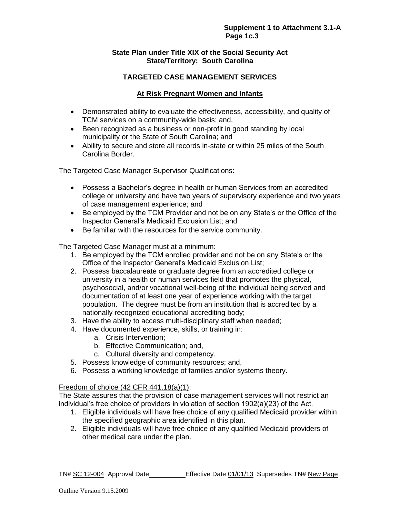## **Supplement 1 to Attachment 3.1-A Page 1c.3**

## **State Plan under Title XIX of the Social Security Act State/Territory: South Carolina**

# **TARGETED CASE MANAGEMENT SERVICES**

# **At Risk Pregnant Women and Infants**

- Demonstrated ability to evaluate the effectiveness, accessibility, and quality of TCM services on a community-wide basis; and,
- Been recognized as a business or non-profit in good standing by local municipality or the State of South Carolina; and
- Ability to secure and store all records in-state or within 25 miles of the South Carolina Border.

The Targeted Case Manager Supervisor Qualifications:

- Possess a Bachelor's degree in health or human Services from an accredited college or university and have two years of supervisory experience and two years of case management experience; and
- Be employed by the TCM Provider and not be on any State's or the Office of the Inspector General's Medicaid Exclusion List; and
- Be familiar with the resources for the service community.

The Targeted Case Manager must at a minimum:

- 1. Be employed by the TCM enrolled provider and not be on any State's or the Office of the Inspector General's Medicaid Exclusion List;
- 2. Possess baccalaureate or graduate degree from an accredited college or university in a health or human services field that promotes the physical, psychosocial, and/or vocational well-being of the individual being served and documentation of at least one year of experience working with the target population. The degree must be from an institution that is accredited by a nationally recognized educational accrediting body;
- 3. Have the ability to access multi-disciplinary staff when needed;
- 4. Have documented experience, skills, or training in:
	- a. Crisis Intervention;
	- b. Effective Communication; and,
	- c. Cultural diversity and competency.
- 5. Possess knowledge of community resources; and,
- 6. Possess a working knowledge of families and/or systems theory.

#### Freedom of choice (42 CFR 441.18(a)(1):

The State assures that the provision of case management services will not restrict an individual's free choice of providers in violation of section 1902(a)(23) of the Act.

- 1. Eligible individuals will have free choice of any qualified Medicaid provider within the specified geographic area identified in this plan.
- 2. Eligible individuals will have free choice of any qualified Medicaid providers of other medical care under the plan.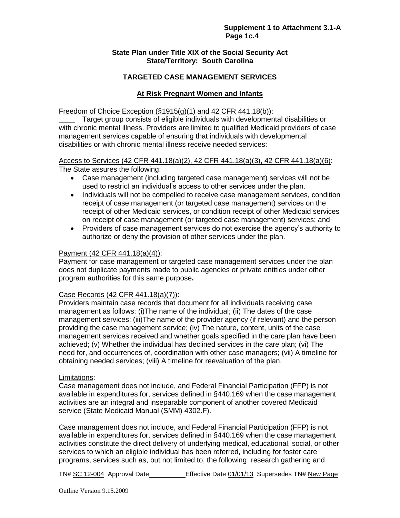#### **Supplement 1 to Attachment 3.1-A Page 1c.4**

#### **State Plan under Title XIX of the Social Security Act State/Territory: South Carolina**

## **TARGETED CASE MANAGEMENT SERVICES**

# **At Risk Pregnant Women and Infants**

#### Freedom of Choice Exception  $(\S1915(q)(1)$  and 42 CFR 441.18(b)):

**\_\_\_\_** Target group consists of eligible individuals with developmental disabilities or with chronic mental illness. Providers are limited to qualified Medicaid providers of case management services capable of ensuring that individuals with developmental disabilities or with chronic mental illness receive needed services:

## Access to Services (42 CFR 441.18(a)(2), 42 CFR 441.18(a)(3), 42 CFR 441.18(a)(6):

The State assures the following:

- Case management (including targeted case management) services will not be used to restrict an individual's access to other services under the plan.
- Individuals will not be compelled to receive case management services, condition receipt of case management (or targeted case management) services on the receipt of other Medicaid services, or condition receipt of other Medicaid services on receipt of case management (or targeted case management) services; and
- Providers of case management services do not exercise the agency's authority to authorize or deny the provision of other services under the plan.

#### Payment (42 CFR 441.18(a)(4)):

Payment for case management or targeted case management services under the plan does not duplicate payments made to public agencies or private entities under other program authorities for this same purpose**.** 

## Case Records (42 CFR 441.18(a)(7)):

Providers maintain case records that document for all individuals receiving case management as follows: (i)The name of the individual; (ii) The dates of the case management services; (iii)The name of the provider agency (if relevant) and the person providing the case management service; (iv) The nature, content, units of the case management services received and whether goals specified in the care plan have been achieved; (v) Whether the individual has declined services in the care plan; (vi) The need for, and occurrences of, coordination with other case managers; (vii) A timeline for obtaining needed services; (viii) A timeline for reevaluation of the plan.

## Limitations:

Case management does not include, and Federal Financial Participation (FFP) is not available in expenditures for, services defined in §440.169 when the case management activities are an integral and inseparable component of another covered Medicaid service (State Medicaid Manual (SMM) 4302.F).

Case management does not include, and Federal Financial Participation (FFP) is not available in expenditures for, services defined in §440.169 when the case management activities constitute the direct delivery of underlying medical, educational, social, or other services to which an eligible individual has been referred, including for foster care programs, services such as, but not limited to, the following: research gathering and